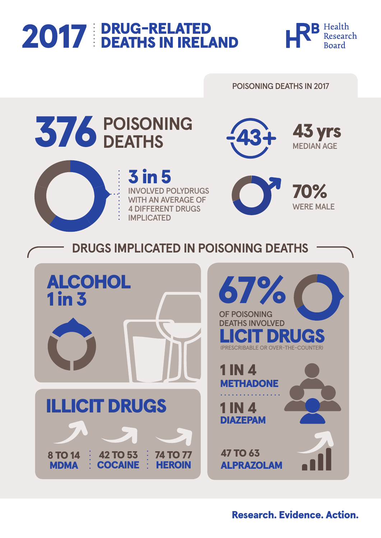# 2017 DRUG-RELATED





## Research. Evidence. Action.